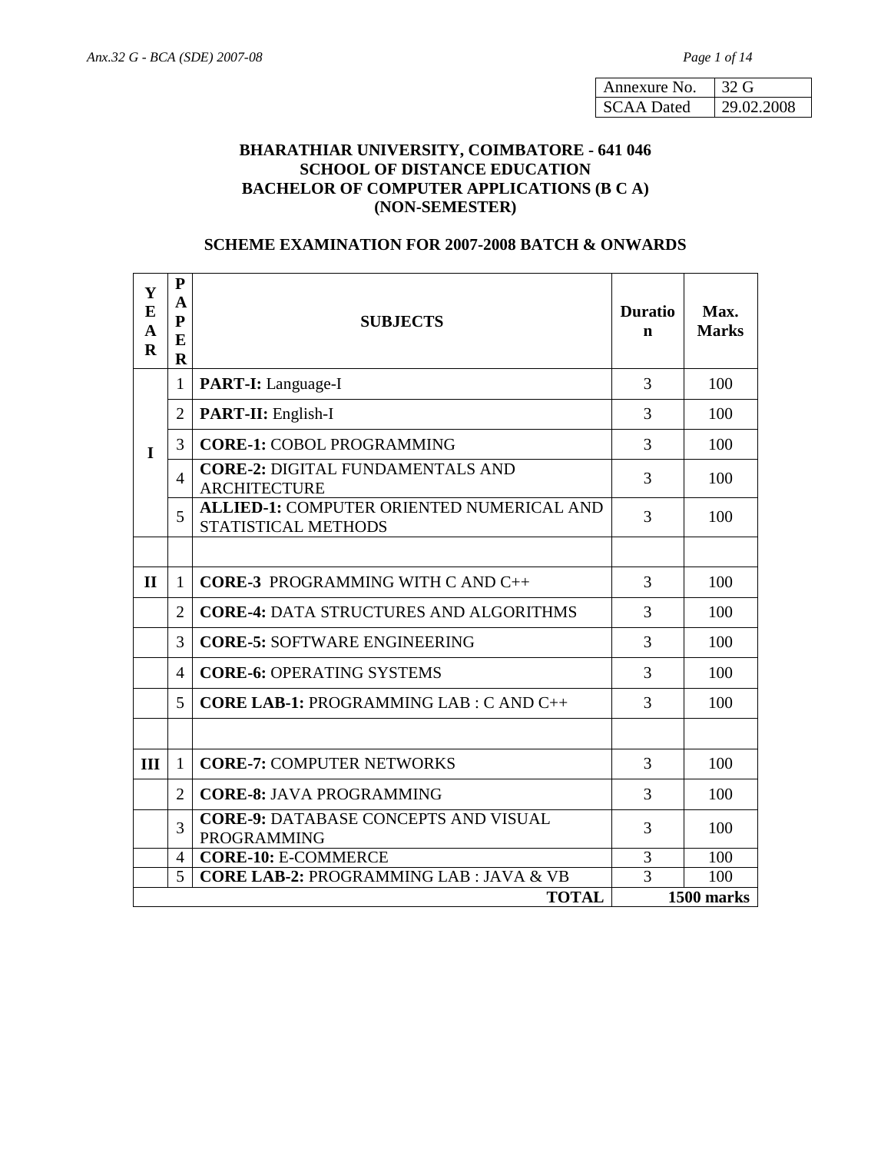| Annexure No.      | 32 G       |
|-------------------|------------|
| <b>SCAA</b> Dated | 29.02.2008 |

# **BHARATHIAR UNIVERSITY, COIMBATORE - 641 046 SCHOOL OF DISTANCE EDUCATION BACHELOR OF COMPUTER APPLICATIONS (B C A) (NON-SEMESTER)**

# **SCHEME EXAMINATION FOR 2007-2008 BATCH & ONWARDS**

| Y<br>E<br>A<br>$\overline{\mathbf{R}}$ | ${\bf P}$<br>$\mathbf{A}$<br>$\mathbf{P}$<br>E<br>$\mathbf R$ | <b>SUBJECTS</b>                                                         | <b>Duratio</b><br>n | Max.<br><b>Marks</b> |
|----------------------------------------|---------------------------------------------------------------|-------------------------------------------------------------------------|---------------------|----------------------|
|                                        | 1                                                             | PART-I: Language-I                                                      | 3                   | 100                  |
|                                        | $\overline{2}$                                                | PART-II: English-I                                                      | 3                   | 100                  |
| $\mathbf I$                            | 3                                                             | <b>CORE-1: COBOL PROGRAMMING</b>                                        | 3                   | 100                  |
|                                        | 4                                                             | <b>CORE-2: DIGITAL FUNDAMENTALS AND</b><br><b>ARCHITECTURE</b>          | 3                   | 100                  |
|                                        | 5                                                             | <b>ALLIED-1: COMPUTER ORIENTED NUMERICAL AND</b><br>STATISTICAL METHODS |                     | 100                  |
|                                        |                                                               |                                                                         |                     |                      |
| $\mathbf{I}$                           | 1                                                             | <b>CORE-3 PROGRAMMING WITH C AND C++</b>                                | 3                   | 100                  |
|                                        | $\overline{2}$                                                | <b>CORE-4: DATA STRUCTURES AND ALGORITHMS</b>                           | 3                   | 100                  |
|                                        | 3                                                             | <b>CORE-5: SOFTWARE ENGINEERING</b>                                     | 3                   | 100                  |
|                                        | $\overline{4}$                                                | <b>CORE-6: OPERATING SYSTEMS</b>                                        | 3                   | 100                  |
|                                        | 5                                                             | <b>CORE LAB-1: PROGRAMMING LAB: CAND C++</b>                            | 3                   | 100                  |
|                                        |                                                               |                                                                         |                     |                      |
| III                                    | 1                                                             | <b>CORE-7: COMPUTER NETWORKS</b>                                        | 3                   | 100                  |
|                                        | $\overline{2}$                                                | <b>CORE-8: JAVA PROGRAMMING</b>                                         | 3                   | 100                  |
|                                        | 3                                                             | <b>CORE-9: DATABASE CONCEPTS AND VISUAL</b><br>PROGRAMMING              | 3                   | 100                  |
|                                        | $\overline{4}$                                                | <b>CORE-10: E-COMMERCE</b>                                              | 3                   | 100                  |
|                                        | 5                                                             | <b>CORE LAB-2: PROGRAMMING LAB : JAVA &amp; VB</b>                      | 3                   | 100                  |
|                                        |                                                               | <b>TOTAL</b>                                                            |                     | 1500 marks           |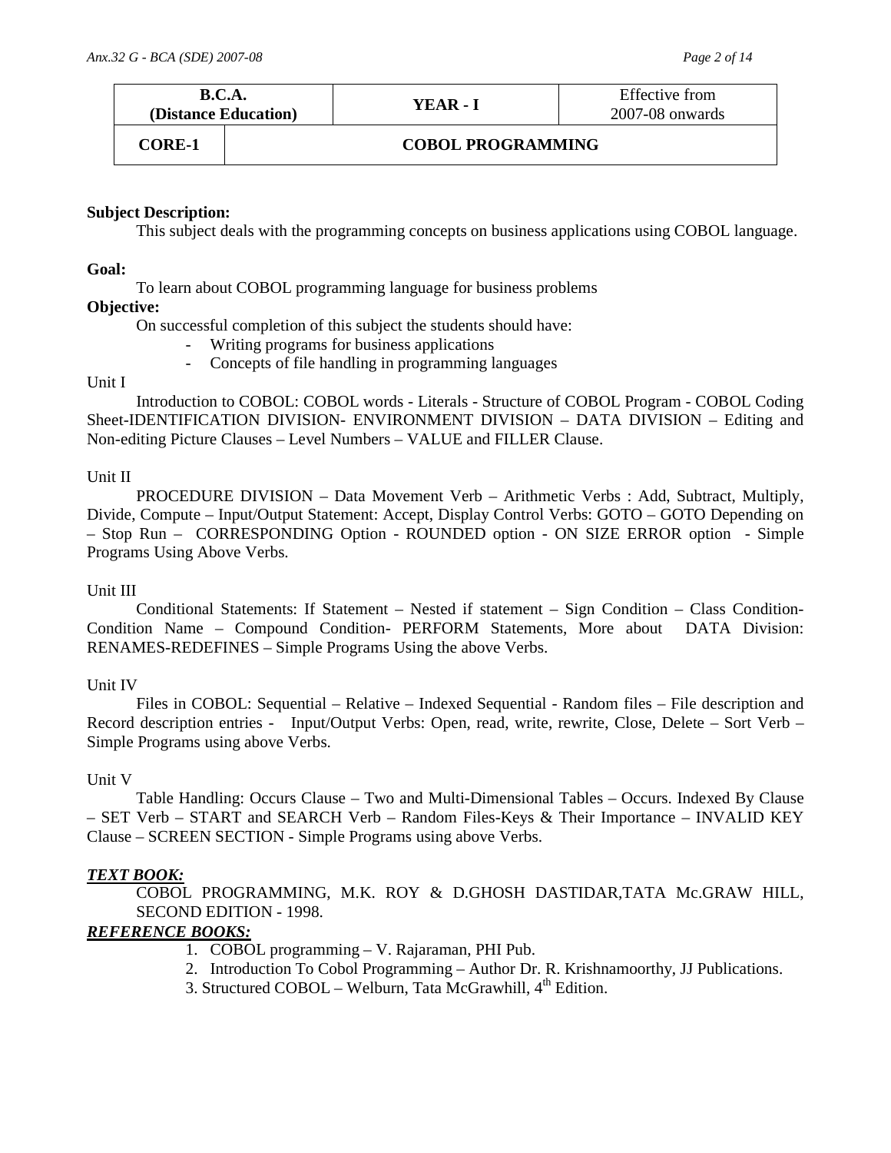| <b>B.C.A.</b><br>(Distance Education) |  | YEAR - I                 | Effective from<br>$2007-08$ onwards |
|---------------------------------------|--|--------------------------|-------------------------------------|
| CORE-1                                |  | <b>COBOL PROGRAMMING</b> |                                     |

This subject deals with the programming concepts on business applications using COBOL language.

#### **Goal:**

To learn about COBOL programming language for business problems

#### **Objective:**

On successful completion of this subject the students should have:

- Writing programs for business applications
- Concepts of file handling in programming languages

#### Unit I

 Introduction to COBOL: COBOL words - Literals - Structure of COBOL Program - COBOL Coding Sheet-IDENTIFICATION DIVISION- ENVIRONMENT DIVISION – DATA DIVISION – Editing and Non-editing Picture Clauses – Level Numbers – VALUE and FILLER Clause.

#### Unit II

 PROCEDURE DIVISION – Data Movement Verb – Arithmetic Verbs : Add, Subtract, Multiply, Divide, Compute – Input/Output Statement: Accept, Display Control Verbs: GOTO – GOTO Depending on – Stop Run – CORRESPONDING Option - ROUNDED option - ON SIZE ERROR option - Simple Programs Using Above Verbs.

## Unit III

 Conditional Statements: If Statement – Nested if statement – Sign Condition – Class Condition-Condition Name – Compound Condition- PERFORM Statements, More about DATA Division: RENAMES-REDEFINES – Simple Programs Using the above Verbs.

## Unit IV

 Files in COBOL: Sequential – Relative – Indexed Sequential - Random files – File description and Record description entries - Input/Output Verbs: Open, read, write, rewrite, Close, Delete – Sort Verb – Simple Programs using above Verbs.

## Unit V

 Table Handling: Occurs Clause – Two and Multi-Dimensional Tables – Occurs. Indexed By Clause – SET Verb – START and SEARCH Verb – Random Files-Keys & Their Importance – INVALID KEY Clause – SCREEN SECTION - Simple Programs using above Verbs.

## *TEXT BOOK:*

COBOL PROGRAMMING, M.K. ROY & D.GHOSH DASTIDAR,TATA Mc.GRAW HILL, SECOND EDITION - 1998.

- 1. COBOL programming V. Rajaraman, PHI Pub.
- 2. Introduction To Cobol Programming Author Dr. R. Krishnamoorthy, JJ Publications.
- 3. Structured COBOL Welburn, Tata McGrawhill,  $4<sup>th</sup>$  Edition.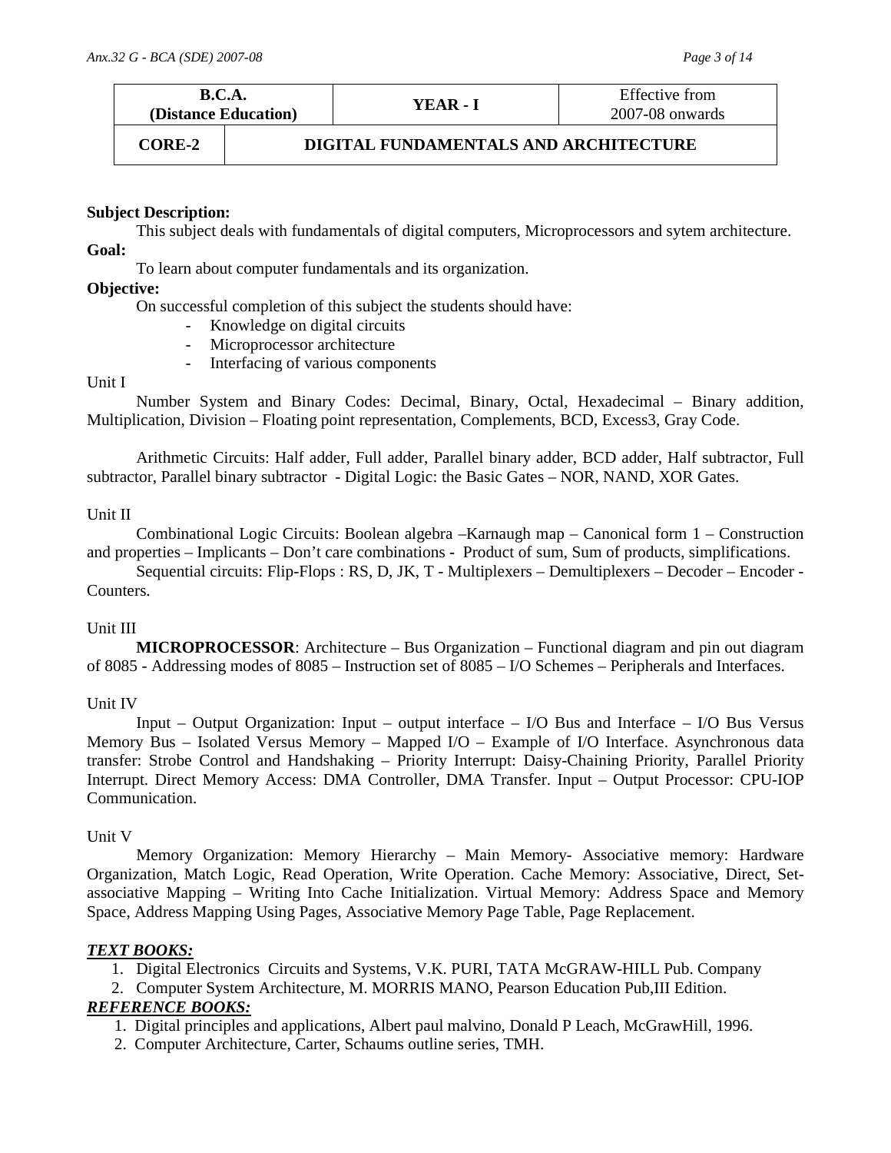| <b>B.C.A.</b><br>(Distance Education) |                                       | YEAR - I | Effective from<br>2007-08 onwards |
|---------------------------------------|---------------------------------------|----------|-----------------------------------|
| CORE-2                                | DIGITAL FUNDAMENTALS AND ARCHITECTURE |          |                                   |

 This subject deals with fundamentals of digital computers, Microprocessors and sytem architecture. **Goal:** 

To learn about computer fundamentals and its organization.

#### **Objective:**

On successful completion of this subject the students should have:

- Knowledge on digital circuits
- Microprocessor architecture
- Interfacing of various components

#### Unit I

 Number System and Binary Codes: Decimal, Binary, Octal, Hexadecimal – Binary addition, Multiplication, Division – Floating point representation, Complements, BCD, Excess3, Gray Code.

 Arithmetic Circuits: Half adder, Full adder, Parallel binary adder, BCD adder, Half subtractor, Full subtractor, Parallel binary subtractor - Digital Logic: the Basic Gates – NOR, NAND, XOR Gates.

#### Unit II

 Combinational Logic Circuits: Boolean algebra –Karnaugh map – Canonical form 1 – Construction and properties – Implicants – Don't care combinations - Product of sum, Sum of products, simplifications.

 Sequential circuits: Flip-Flops : RS, D, JK, T - Multiplexers – Demultiplexers – Decoder – Encoder - Counters.

#### Unit III

 **MICROPROCESSOR**: Architecture – Bus Organization – Functional diagram and pin out diagram of 8085 - Addressing modes of 8085 – Instruction set of 8085 – I/O Schemes – Peripherals and Interfaces.

## Unit IV

 Input – Output Organization: Input – output interface – I/O Bus and Interface – I/O Bus Versus Memory Bus – Isolated Versus Memory – Mapped I/O – Example of I/O Interface. Asynchronous data transfer: Strobe Control and Handshaking – Priority Interrupt: Daisy-Chaining Priority, Parallel Priority Interrupt. Direct Memory Access: DMA Controller, DMA Transfer. Input – Output Processor: CPU-IOP Communication.

#### Unit V

 Memory Organization: Memory Hierarchy – Main Memory- Associative memory: Hardware Organization, Match Logic, Read Operation, Write Operation. Cache Memory: Associative, Direct, Setassociative Mapping – Writing Into Cache Initialization. Virtual Memory: Address Space and Memory Space, Address Mapping Using Pages, Associative Memory Page Table, Page Replacement.

## *TEXT BOOKS:*

1. Digital Electronics Circuits and Systems, V.K. PURI, TATA McGRAW-HILL Pub. Company

2. Computer System Architecture, M. MORRIS MANO, Pearson Education Pub,III Edition.

- 1. Digital principles and applications, Albert paul malvino, Donald P Leach, McGrawHill, 1996.
- 2. Computer Architecture, Carter, Schaums outline series, TMH.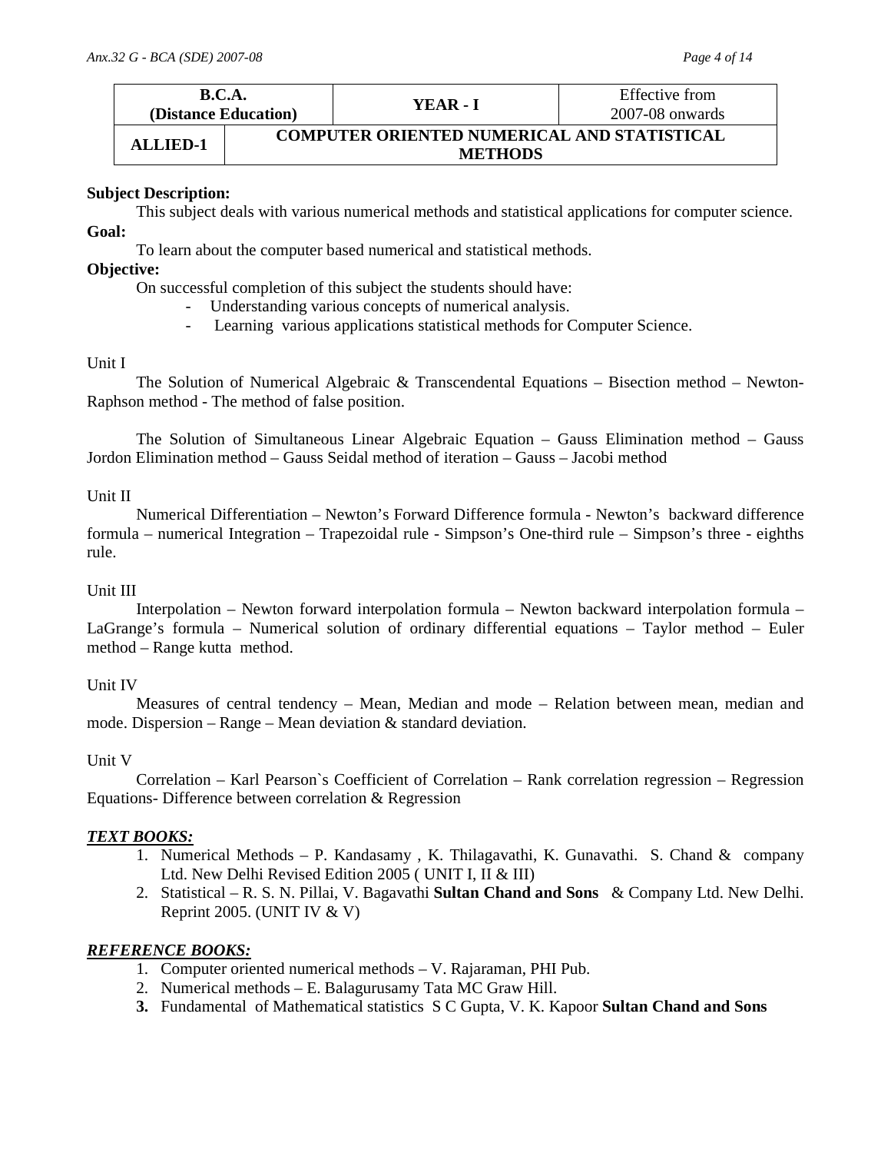| <b>B.C.A.</b><br>(Distance Education) |                                                                      | YEAR - I | Effective from<br>2007-08 onwards |
|---------------------------------------|----------------------------------------------------------------------|----------|-----------------------------------|
| <b>ALLIED-1</b>                       | <b>COMPUTER ORIENTED NUMERICAL AND STATISTICAL</b><br><b>METHODS</b> |          |                                   |

 This subject deals with various numerical methods and statistical applications for computer science. **Goal:** 

To learn about the computer based numerical and statistical methods.

#### **Objective:**

On successful completion of this subject the students should have:

- Understanding various concepts of numerical analysis.
- Learning various applications statistical methods for Computer Science.

#### Unit I

 The Solution of Numerical Algebraic & Transcendental Equations – Bisection method – Newton-Raphson method - The method of false position.

 The Solution of Simultaneous Linear Algebraic Equation – Gauss Elimination method – Gauss Jordon Elimination method – Gauss Seidal method of iteration – Gauss – Jacobi method

## Unit II

 Numerical Differentiation – Newton's Forward Difference formula - Newton's backward difference formula – numerical Integration – Trapezoidal rule - Simpson's One-third rule – Simpson's three - eighths rule.

## Unit III

 Interpolation – Newton forward interpolation formula – Newton backward interpolation formula – LaGrange's formula – Numerical solution of ordinary differential equations – Taylor method – Euler method – Range kutta method.

## Unit IV

 Measures of central tendency – Mean, Median and mode – Relation between mean, median and mode. Dispersion – Range – Mean deviation  $\&$  standard deviation.

## Unit V

 Correlation – Karl Pearson`s Coefficient of Correlation – Rank correlation regression – Regression Equations- Difference between correlation & Regression

## *TEXT BOOKS:*

- 1. Numerical Methods P. Kandasamy , K. Thilagavathi, K. Gunavathi. S. Chand & company Ltd. New Delhi Revised Edition 2005 ( UNIT I, II & III)
- 2. Statistical R. S. N. Pillai, V. Bagavathi **Sultan Chand and Sons** & Company Ltd. New Delhi. Reprint 2005. (UNIT IV & V)

- 1. Computer oriented numerical methods V. Rajaraman, PHI Pub.
- 2. Numerical methods E. Balagurusamy Tata MC Graw Hill.
- **3.** Fundamental of Mathematical statistics S C Gupta, V. K. Kapoor **Sultan Chand and Sons**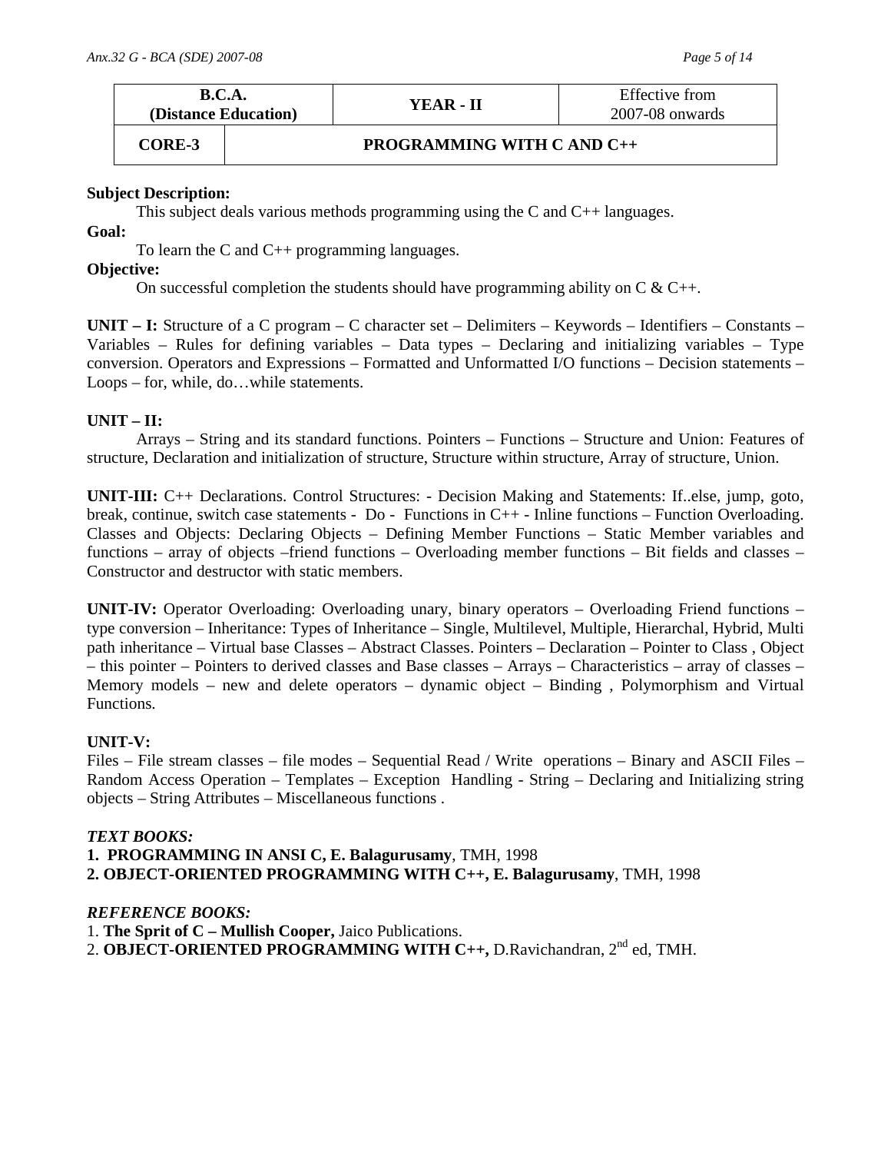| B.C.A.<br>(Distance Education) |                                   | YEAR - II | Effective from<br>2007-08 onwards |
|--------------------------------|-----------------------------------|-----------|-----------------------------------|
| CORE-3                         | <b>PROGRAMMING WITH C AND C++</b> |           |                                   |

This subject deals various methods programming using the C and C++ languages.

**Goal:** 

To learn the C and C++ programming languages.

#### **Objective:**

On successful completion the students should have programming ability on  $C \& C_{++}$ .

**UNIT – I:** Structure of a C program – C character set – Delimiters – Keywords – Identifiers – Constants – Variables – Rules for defining variables – Data types – Declaring and initializing variables – Type conversion. Operators and Expressions – Formatted and Unformatted I/O functions – Decision statements – Loops – for, while, do…while statements.

# **UNIT – II:**

 Arrays – String and its standard functions. Pointers – Functions – Structure and Union: Features of structure, Declaration and initialization of structure, Structure within structure, Array of structure, Union.

**UNIT-III:** C++ Declarations. Control Structures: - Decision Making and Statements: If..else, jump, goto, break, continue, switch case statements - Do - Functions in C++ - Inline functions – Function Overloading. Classes and Objects: Declaring Objects – Defining Member Functions – Static Member variables and functions – array of objects –friend functions – Overloading member functions – Bit fields and classes – Constructor and destructor with static members.

**UNIT-IV:** Operator Overloading: Overloading unary, binary operators – Overloading Friend functions – type conversion – Inheritance: Types of Inheritance – Single, Multilevel, Multiple, Hierarchal, Hybrid, Multi path inheritance – Virtual base Classes – Abstract Classes. Pointers – Declaration – Pointer to Class , Object – this pointer – Pointers to derived classes and Base classes – Arrays – Characteristics – array of classes – Memory models – new and delete operators – dynamic object – Binding , Polymorphism and Virtual Functions.

# **UNIT-V:**

Files – File stream classes – file modes – Sequential Read / Write operations – Binary and ASCII Files – Random Access Operation – Templates – Exception Handling - String – Declaring and Initializing string objects – String Attributes – Miscellaneous functions .

## *TEXT BOOKS:*

# **1. PROGRAMMING IN ANSI C, E. Balagurusamy**, TMH, 1998 **2. OBJECT-ORIENTED PROGRAMMING WITH C++, E. Balagurusamy**, TMH, 1998

- 1. **The Sprit of C Mullish Cooper,** Jaico Publications.
- 2. **OBJECT-ORIENTED PROGRAMMING WITH C++,** D.Ravichandran, 2nd ed, TMH.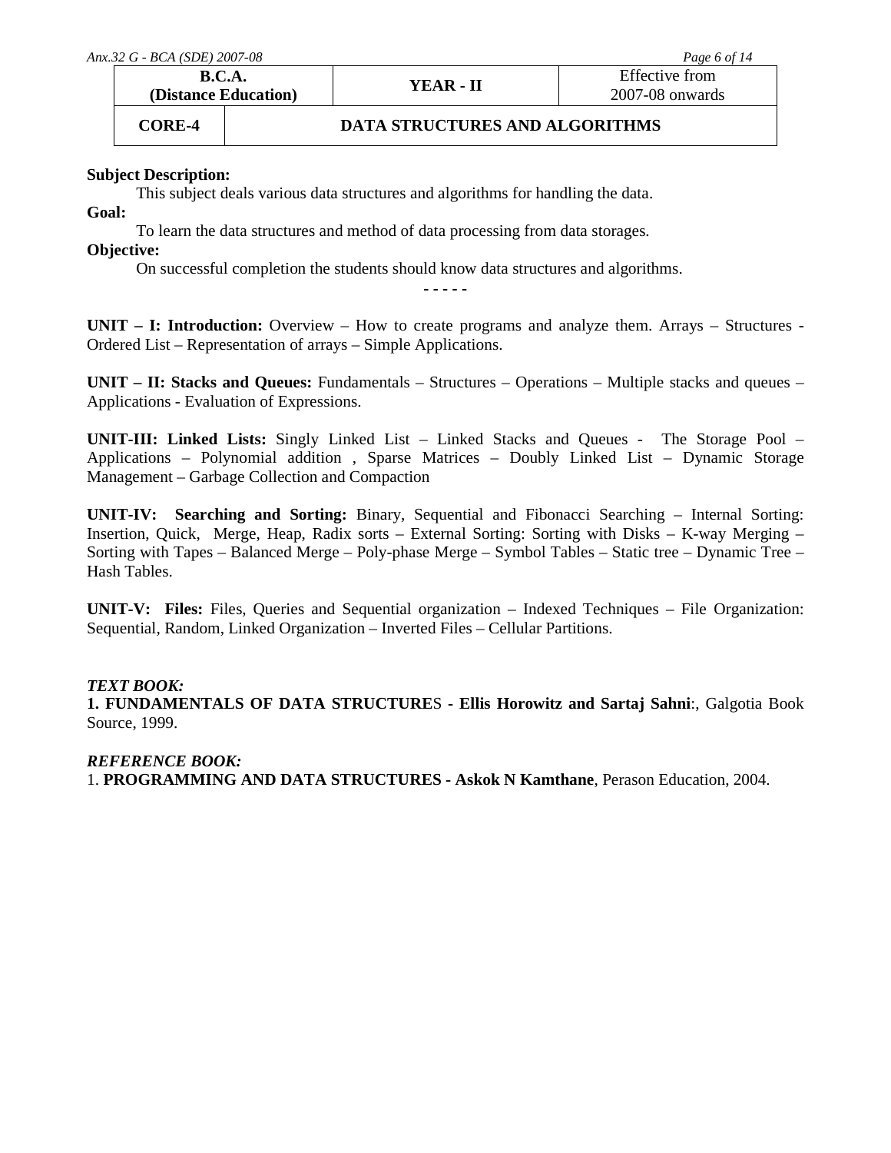|  |  | Anx.32 G - BCA (SDE) 2007-08 |
|--|--|------------------------------|
|  |  |                              |

**B.C.A.** 

| B.C.A.        | (Distance Education) | YEAR - II                             | Effective from<br>$2007-08$ onwards |
|---------------|----------------------|---------------------------------------|-------------------------------------|
| <b>CORE-4</b> |                      | <b>DATA STRUCTURES AND ALGORITHMS</b> |                                     |

## **Subject Description:**

This subject deals various data structures and algorithms for handling the data.

**Goal:** 

To learn the data structures and method of data processing from data storages.

**Objective:** 

On successful completion the students should know data structures and algorithms.

**- - - - -** 

**UNIT – I: Introduction:** Overview – How to create programs and analyze them. Arrays – Structures -Ordered List – Representation of arrays – Simple Applications.

**UNIT – II: Stacks and Queues:** Fundamentals – Structures – Operations – Multiple stacks and queues – Applications - Evaluation of Expressions.

**UNIT-III: Linked Lists:** Singly Linked List – Linked Stacks and Queues - The Storage Pool – Applications – Polynomial addition , Sparse Matrices – Doubly Linked List – Dynamic Storage Management – Garbage Collection and Compaction

**UNIT-IV: Searching and Sorting:** Binary, Sequential and Fibonacci Searching – Internal Sorting: Insertion, Quick, Merge, Heap, Radix sorts – External Sorting: Sorting with Disks – K-way Merging – Sorting with Tapes – Balanced Merge – Poly-phase Merge – Symbol Tables – Static tree – Dynamic Tree – Hash Tables.

**UNIT-V: Files:** Files, Queries and Sequential organization – Indexed Techniques – File Organization: Sequential, Random, Linked Organization – Inverted Files – Cellular Partitions.

# *TEXT BOOK:*

**1. FUNDAMENTALS OF DATA STRUCTURE**S **- Ellis Horowitz and Sartaj Sahni**:, Galgotia Book Source, 1999.

# *REFERENCE BOOK:*

1. **PROGRAMMING AND DATA STRUCTURES - Askok N Kamthane**, Perason Education, 2004.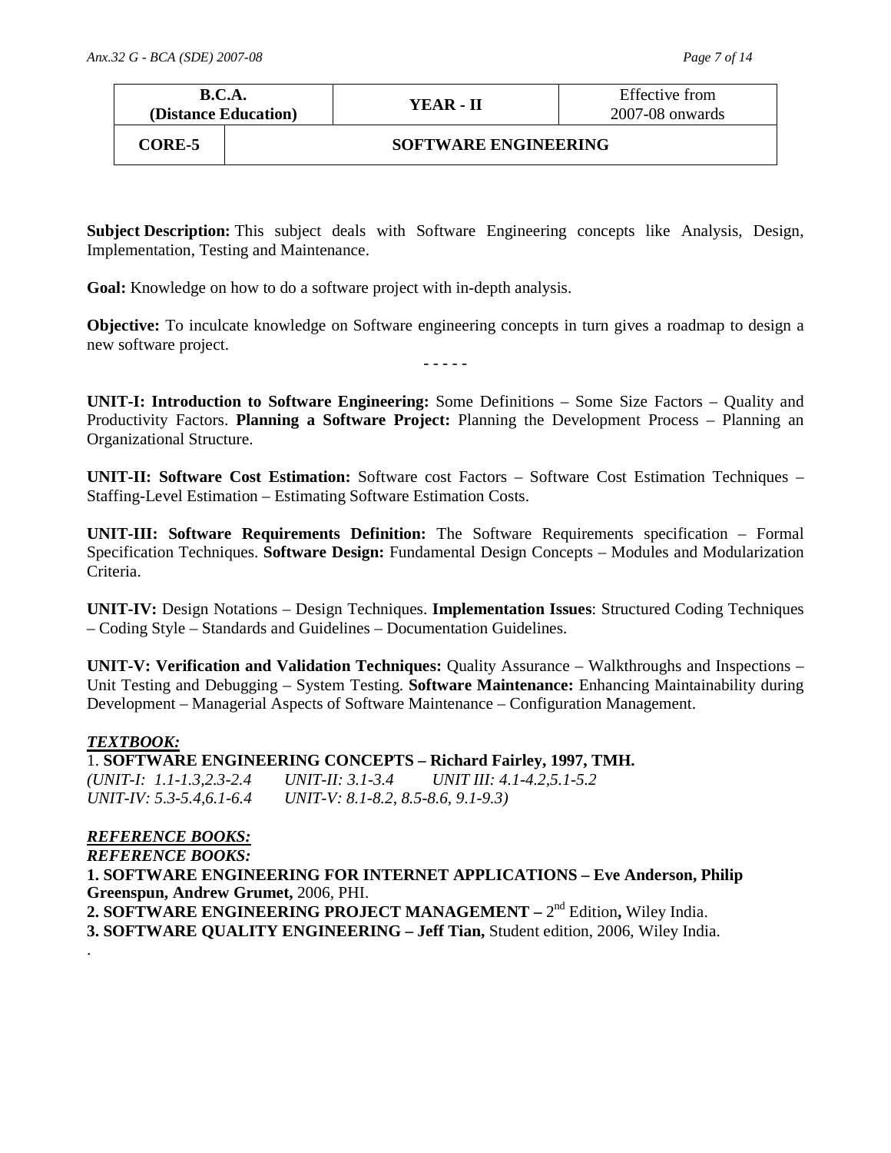| B.C.A.<br>(Distance Education) |                             | YEAR - II | Effective from<br>$2007-08$ onwards |
|--------------------------------|-----------------------------|-----------|-------------------------------------|
| CORE-5                         | <b>SOFTWARE ENGINEERING</b> |           |                                     |

**Subject Description:** This subject deals with Software Engineering concepts like Analysis, Design, Implementation, Testing and Maintenance.

**Goal:** Knowledge on how to do a software project with in-depth analysis.

**Objective:** To inculcate knowledge on Software engineering concepts in turn gives a roadmap to design a new software project. - - - - -

**UNIT-I: Introduction to Software Engineering:** Some Definitions – Some Size Factors – Quality and Productivity Factors. **Planning a Software Project:** Planning the Development Process – Planning an Organizational Structure.

**UNIT-II: Software Cost Estimation:** Software cost Factors – Software Cost Estimation Techniques – Staffing-Level Estimation – Estimating Software Estimation Costs.

**UNIT-III: Software Requirements Definition:** The Software Requirements specification – Formal Specification Techniques. **Software Design:** Fundamental Design Concepts – Modules and Modularization Criteria.

**UNIT-IV:** Design Notations – Design Techniques. **Implementation Issues**: Structured Coding Techniques – Coding Style – Standards and Guidelines – Documentation Guidelines.

**UNIT-V: Verification and Validation Techniques:** Quality Assurance – Walkthroughs and Inspections – Unit Testing and Debugging – System Testing. **Software Maintenance:** Enhancing Maintainability during Development – Managerial Aspects of Software Maintenance – Configuration Management.

## *TEXTBOOK:*

.

1. **SOFTWARE ENGINEERING CONCEPTS – Richard Fairley, 1997, TMH.**  *(UNIT-I: 1.1-1.3,2.3-2.4 UNIT-II: 3.1-3.4 UNIT III: 4.1-4.2,5.1-5.2 UNIT-IV: 5.3-5.4,6.1-6.4 UNIT-V: 8.1-8.2, 8.5-8.6, 9.1-9.3)* 

## *REFERENCE BOOKS:*

*REFERENCE BOOKS:*  **1. SOFTWARE ENGINEERING FOR INTERNET APPLICATIONS – Eve Anderson, Philip Greenspun, Andrew Grumet,** 2006, PHI. **2. SOFTWARE ENGINEERING PROJECT MANAGEMENT – 2<sup>nd</sup> Edition, Wiley India. 3. SOFTWARE QUALITY ENGINEERING – Jeff Tian,** Student edition, 2006, Wiley India.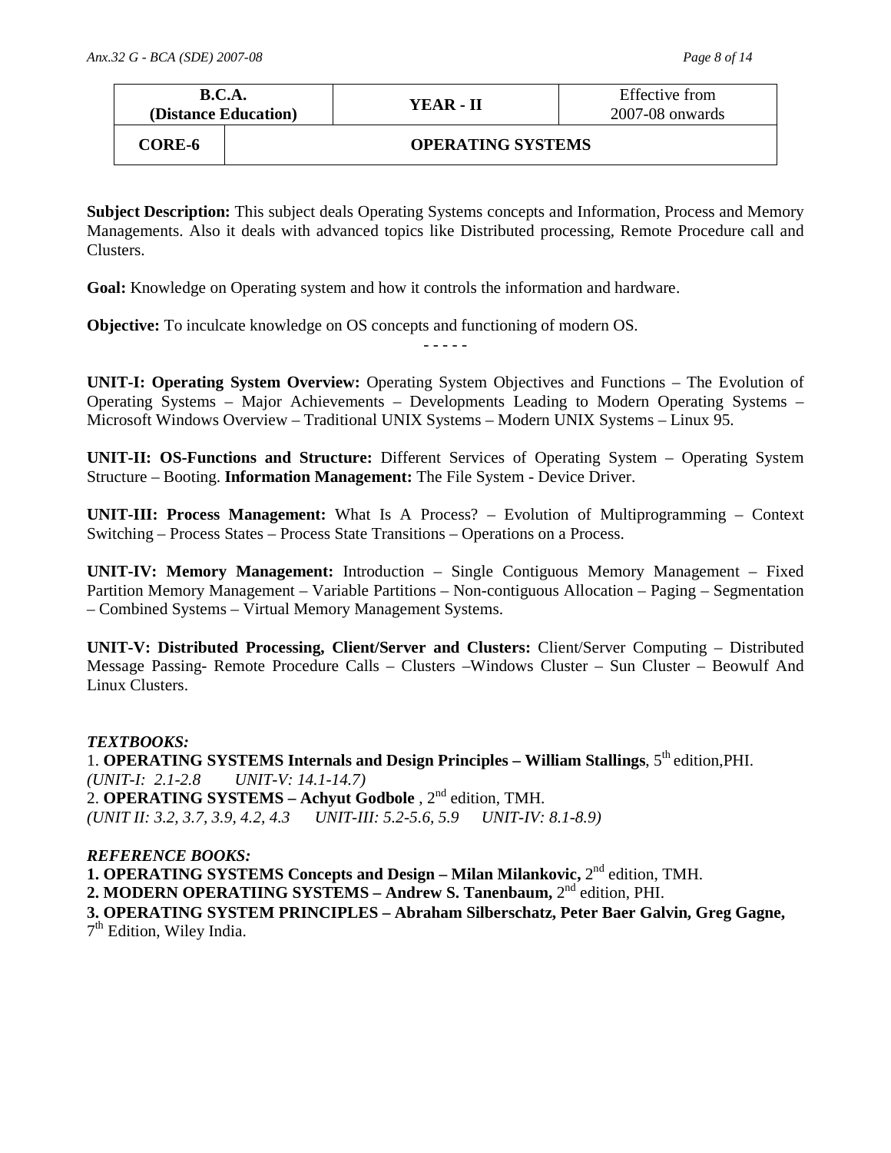| B.C.A.<br>(Distance Education) |  | YEAR - II                | Effective from<br>$2007-08$ onwards |
|--------------------------------|--|--------------------------|-------------------------------------|
| CORE-6                         |  | <b>OPERATING SYSTEMS</b> |                                     |

**Subject Description:** This subject deals Operating Systems concepts and Information, Process and Memory Managements. Also it deals with advanced topics like Distributed processing, Remote Procedure call and Clusters.

**Goal:** Knowledge on Operating system and how it controls the information and hardware.

**Objective:** To inculcate knowledge on OS concepts and functioning of modern OS.

**UNIT-I: Operating System Overview:** Operating System Objectives and Functions – The Evolution of Operating Systems – Major Achievements – Developments Leading to Modern Operating Systems – Microsoft Windows Overview – Traditional UNIX Systems – Modern UNIX Systems – Linux 95.

- - - - -

**UNIT-II: OS-Functions and Structure:** Different Services of Operating System – Operating System Structure – Booting. **Information Management:** The File System - Device Driver.

**UNIT-III: Process Management:** What Is A Process? – Evolution of Multiprogramming – Context Switching – Process States – Process State Transitions – Operations on a Process.

**UNIT-IV: Memory Management:** Introduction – Single Contiguous Memory Management – Fixed Partition Memory Management – Variable Partitions – Non-contiguous Allocation – Paging – Segmentation – Combined Systems – Virtual Memory Management Systems.

**UNIT-V: Distributed Processing, Client/Server and Clusters:** Client/Server Computing – Distributed Message Passing- Remote Procedure Calls – Clusters –Windows Cluster – Sun Cluster – Beowulf And Linux Clusters.

## *TEXTBOOKS:*

1. **OPERATING SYSTEMS Internals and Design Principles – William Stallings**, 5th edition,PHI. *(UNIT-I: 2.1-2.8 UNIT-V: 14.1-14.7)* 2. **OPERATING SYSTEMS – Achyut Godbole** ,  $2^{nd}$  edition, TMH. *(UNIT II: 3.2, 3.7, 3.9, 4.2, 4.3 UNIT-III: 5.2-5.6, 5.9 UNIT-IV: 8.1-8.9)* 

## *REFERENCE BOOKS:*

1. OPERATING SYSTEMS Concepts and Design – Milan Milankovic, 2<sup>nd</sup> edition, TMH.

**2. MODERN OPERATIING SYSTEMS - Andrew S. Tanenbaum, 2<sup>nd</sup> edition, PHI.** 

**3. OPERATING SYSTEM PRINCIPLES – Abraham Silberschatz, Peter Baer Galvin, Greg Gagne,** 7<sup>th</sup> Edition, Wiley India.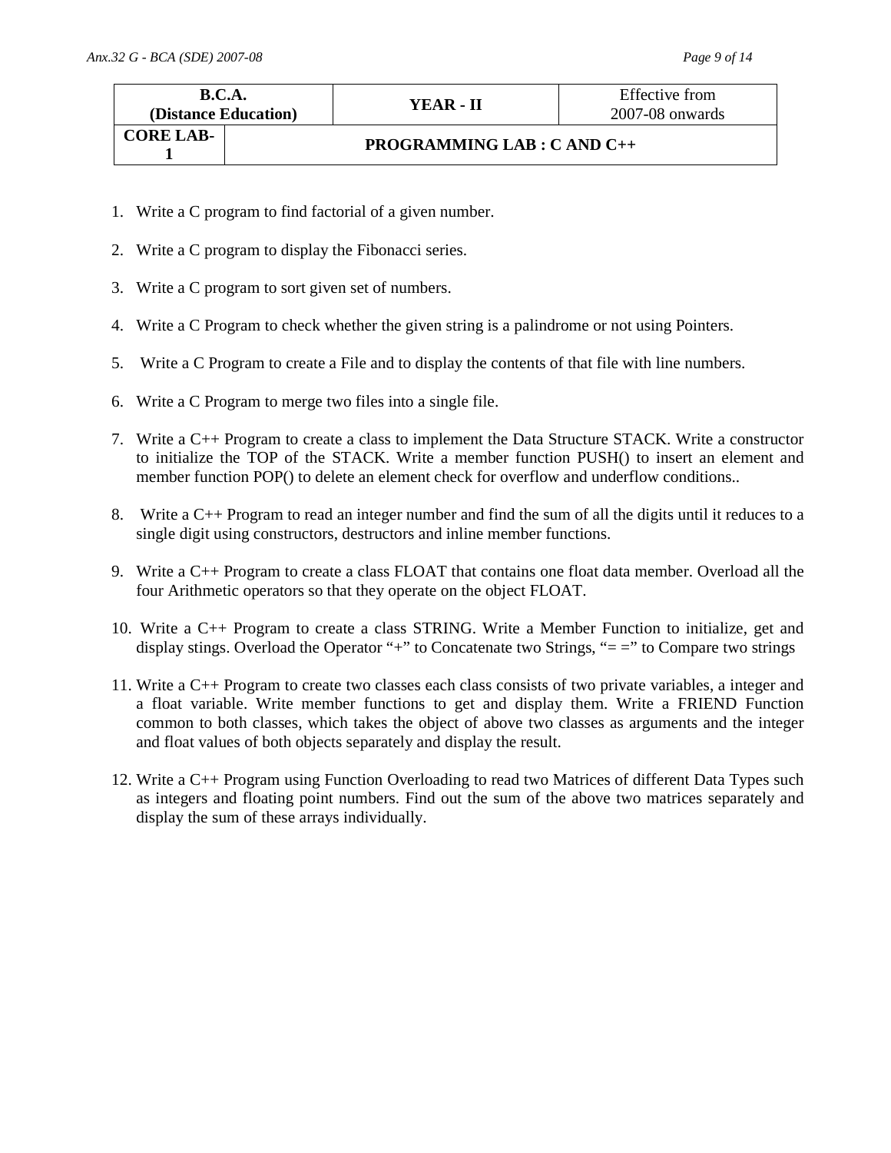| <b>B.C.A.</b><br>(Distance Education) |  | YEAR - II                          | Effective from<br>$2007-08$ onwards |
|---------------------------------------|--|------------------------------------|-------------------------------------|
| <b>CORE LAB-</b>                      |  | <b>PROGRAMMING LAB : C AND C++</b> |                                     |

- 1. Write a C program to find factorial of a given number.
- 2. Write a C program to display the Fibonacci series.
- 3. Write a C program to sort given set of numbers.
- 4. Write a C Program to check whether the given string is a palindrome or not using Pointers.
- 5. Write a C Program to create a File and to display the contents of that file with line numbers.
- 6. Write a C Program to merge two files into a single file.
- 7. Write a C++ Program to create a class to implement the Data Structure STACK. Write a constructor to initialize the TOP of the STACK. Write a member function PUSH() to insert an element and member function POP() to delete an element check for overflow and underflow conditions..
- 8. Write a C++ Program to read an integer number and find the sum of all the digits until it reduces to a single digit using constructors, destructors and inline member functions.
- 9. Write a C++ Program to create a class FLOAT that contains one float data member. Overload all the four Arithmetic operators so that they operate on the object FLOAT.
- 10. Write a C++ Program to create a class STRING. Write a Member Function to initialize, get and display stings. Overload the Operator "+" to Concatenate two Strings, "= =" to Compare two strings
- 11. Write a C++ Program to create two classes each class consists of two private variables, a integer and a float variable. Write member functions to get and display them. Write a FRIEND Function common to both classes, which takes the object of above two classes as arguments and the integer and float values of both objects separately and display the result.
- 12. Write a C++ Program using Function Overloading to read two Matrices of different Data Types such as integers and floating point numbers. Find out the sum of the above two matrices separately and display the sum of these arrays individually.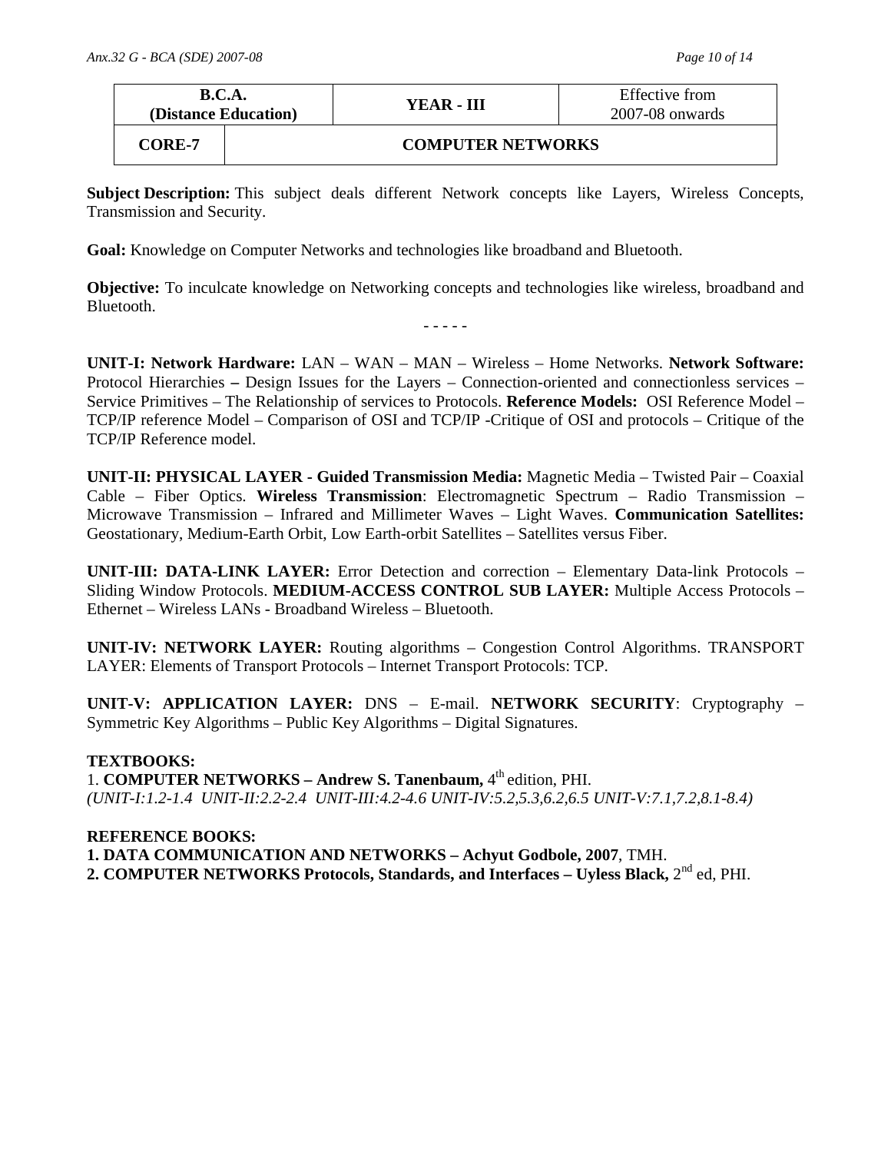| <b>B.C.A.</b><br>(Distance Education) |  | YEAR - III               | Effective from<br>$2007-08$ onwards |
|---------------------------------------|--|--------------------------|-------------------------------------|
| <b>CORE-7</b>                         |  | <b>COMPUTER NETWORKS</b> |                                     |

**Subject Description:** This subject deals different Network concepts like Layers, Wireless Concepts, Transmission and Security.

**Goal:** Knowledge on Computer Networks and technologies like broadband and Bluetooth.

**Objective:** To inculcate knowledge on Networking concepts and technologies like wireless, broadband and Bluetooth.

**UNIT-I: Network Hardware:** LAN – WAN – MAN – Wireless – Home Networks. **Network Software:**  Protocol Hierarchies **–** Design Issues for the Layers – Connection-oriented and connectionless services – Service Primitives – The Relationship of services to Protocols. **Reference Models:** OSI Reference Model – TCP/IP reference Model – Comparison of OSI and TCP/IP -Critique of OSI and protocols – Critique of the TCP/IP Reference model.

**UNIT-II: PHYSICAL LAYER - Guided Transmission Media:** Magnetic Media – Twisted Pair – Coaxial Cable – Fiber Optics. **Wireless Transmission**: Electromagnetic Spectrum – Radio Transmission – Microwave Transmission – Infrared and Millimeter Waves – Light Waves. **Communication Satellites:** Geostationary, Medium-Earth Orbit, Low Earth-orbit Satellites – Satellites versus Fiber.

**UNIT-III: DATA-LINK LAYER:** Error Detection and correction – Elementary Data-link Protocols – Sliding Window Protocols. **MEDIUM-ACCESS CONTROL SUB LAYER:** Multiple Access Protocols – Ethernet – Wireless LANs - Broadband Wireless – Bluetooth.

**UNIT-IV: NETWORK LAYER:** Routing algorithms – Congestion Control Algorithms. TRANSPORT LAYER: Elements of Transport Protocols – Internet Transport Protocols: TCP.

**UNIT-V: APPLICATION LAYER:** DNS – E-mail. **NETWORK SECURITY**: Cryptography – Symmetric Key Algorithms – Public Key Algorithms – Digital Signatures.

# **TEXTBOOKS:**

1. **COMPUTER NETWORKS - Andrew S. Tanenbaum,** 4<sup>th</sup> edition, PHI. *(UNIT-I:1.2-1.4 UNIT-II:2.2-2.4 UNIT-III:4.2-4.6 UNIT-IV:5.2,5.3,6.2,6.5 UNIT-V:7.1,7.2,8.1-8.4)*

## **REFERENCE BOOKS:**

**1. DATA COMMUNICATION AND NETWORKS – Achyut Godbole, 2007**, TMH. 2. COMPUTER NETWORKS Protocols, Standards, and Interfaces – Uyless Black, 2<sup>nd</sup> ed, PHI.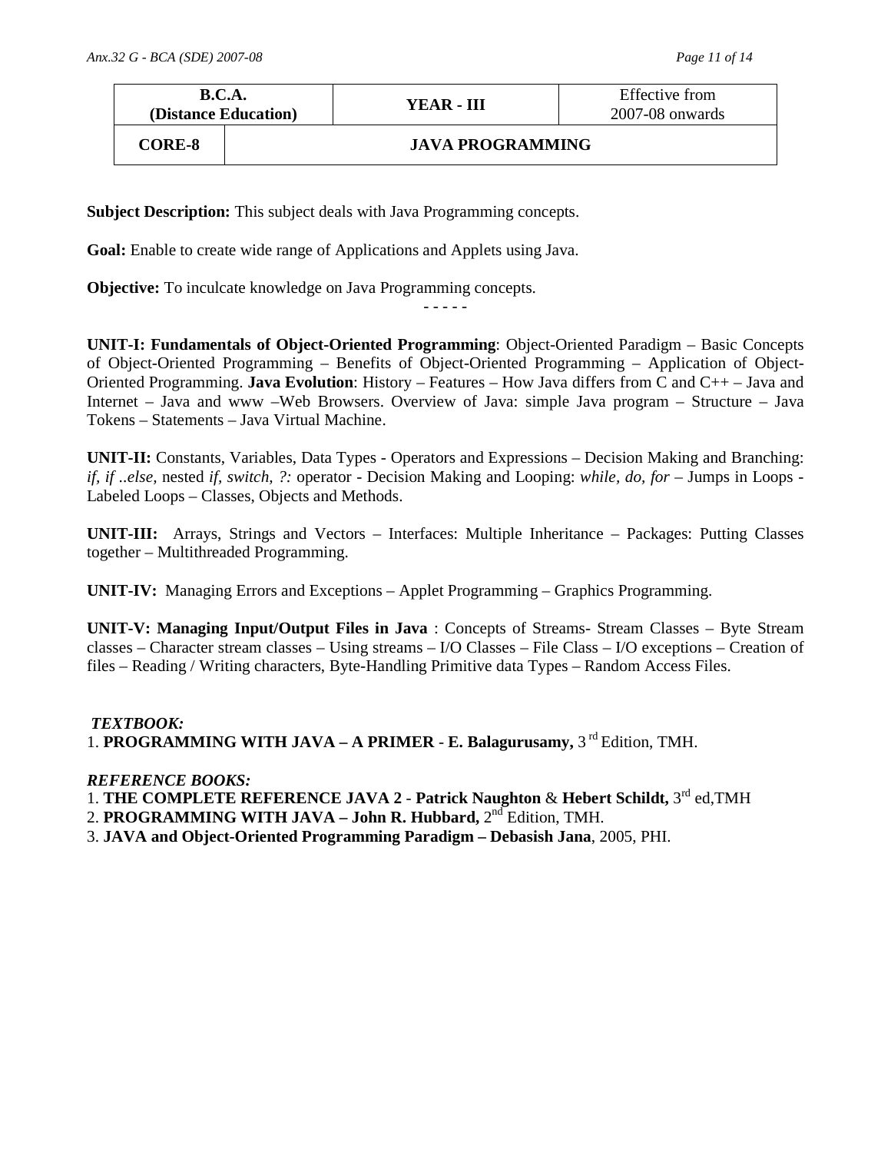| <b>B.C.A.</b><br>(Distance Education) |  | YEAR - III              | Effective from<br>$2007-08$ onwards |
|---------------------------------------|--|-------------------------|-------------------------------------|
| <b>CORE-8</b>                         |  | <b>JAVA PROGRAMMING</b> |                                     |

**Subject Description:** This subject deals with Java Programming concepts.

**Goal:** Enable to create wide range of Applications and Applets using Java.

**Objective:** To inculcate knowledge on Java Programming concepts.

**UNIT-I: Fundamentals of Object-Oriented Programming**: Object-Oriented Paradigm – Basic Concepts of Object-Oriented Programming – Benefits of Object-Oriented Programming – Application of Object-Oriented Programming. **Java Evolution**: History – Features – How Java differs from C and C++ – Java and Internet – Java and www –Web Browsers. Overview of Java: simple Java program – Structure – Java Tokens – Statements – Java Virtual Machine.

- - - - -

**UNIT-II:** Constants, Variables, Data Types - Operators and Expressions – Decision Making and Branching: *if, if ..else,* nested *if, switch, ?:* operator - Decision Making and Looping: *while, do, for* – Jumps in Loops - Labeled Loops – Classes, Objects and Methods.

**UNIT-III:** Arrays, Strings and Vectors – Interfaces: Multiple Inheritance – Packages: Putting Classes together – Multithreaded Programming.

**UNIT-IV:** Managing Errors and Exceptions – Applet Programming – Graphics Programming.

**UNIT-V: Managing Input/Output Files in Java** : Concepts of Streams- Stream Classes – Byte Stream classes – Character stream classes – Using streams – I/O Classes – File Class – I/O exceptions – Creation of files – Reading / Writing characters, Byte-Handling Primitive data Types – Random Access Files.

## *TEXTBOOK:*

1. **PROGRAMMING WITH JAVA - A PRIMER - E. Balagurusamy,** 3<sup>rd</sup> Edition, TMH.

## *REFERENCE BOOKS:*

1. **THE COMPLETE REFERENCE JAVA 2** - **Patrick Naughton** & **Hebert Schildt,** 3 rd ed,TMH

2. **PROGRAMMING WITH JAVA – John R. Hubbard,** 2<sup>nd</sup> Edition, TMH.

3. **JAVA and Object-Oriented Programming Paradigm – Debasish Jana**, 2005, PHI.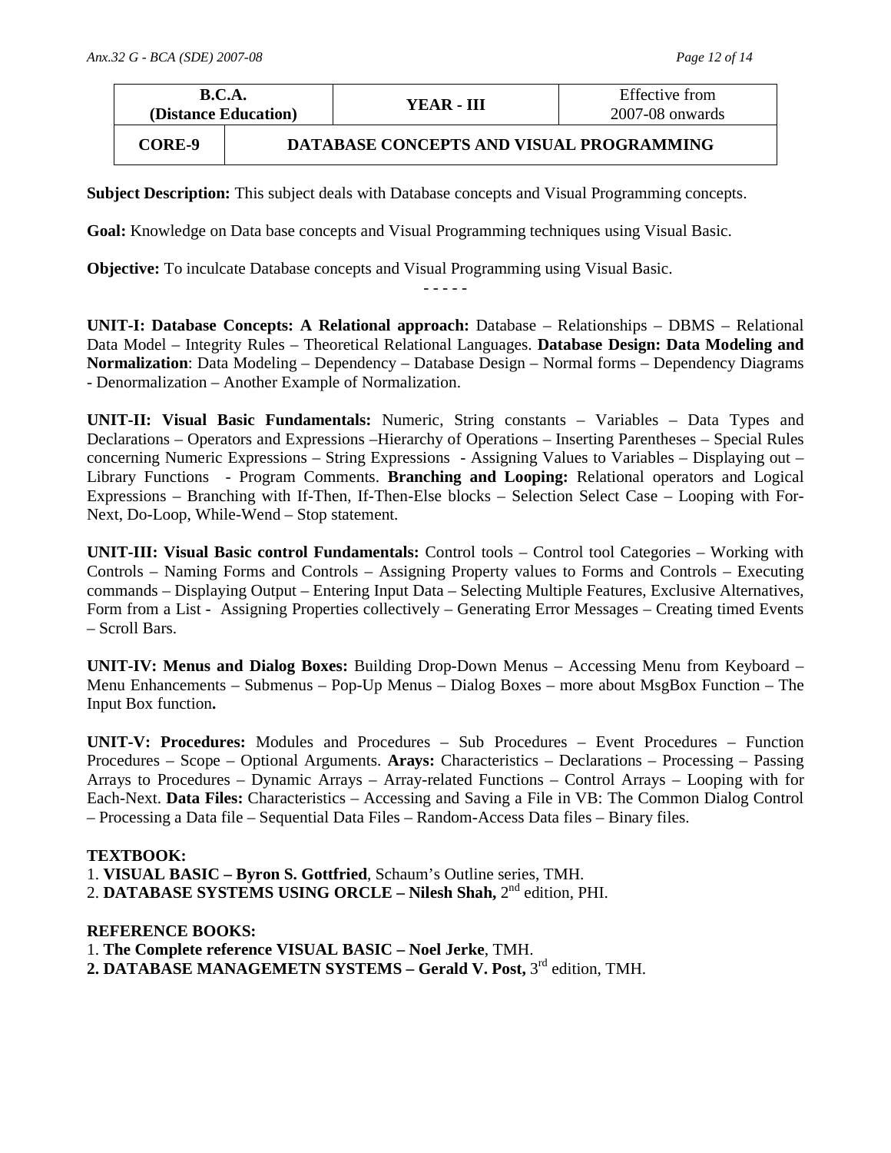| <b>B.C.A.</b><br>(Distance Education) |                                          | YEAR - III | Effective from<br>2007-08 onwards |
|---------------------------------------|------------------------------------------|------------|-----------------------------------|
| CORE-9                                | DATABASE CONCEPTS AND VISUAL PROGRAMMING |            |                                   |

**Subject Description:** This subject deals with Database concepts and Visual Programming concepts.

**Goal:** Knowledge on Data base concepts and Visual Programming techniques using Visual Basic.

**Objective:** To inculcate Database concepts and Visual Programming using Visual Basic.

**UNIT-I: Database Concepts: A Relational approach:** Database – Relationships – DBMS – Relational Data Model – Integrity Rules – Theoretical Relational Languages. **Database Design: Data Modeling and Normalization**: Data Modeling – Dependency – Database Design – Normal forms – Dependency Diagrams - Denormalization – Another Example of Normalization.

- - - - -

**UNIT-II: Visual Basic Fundamentals:** Numeric, String constants – Variables – Data Types and Declarations – Operators and Expressions –Hierarchy of Operations – Inserting Parentheses – Special Rules concerning Numeric Expressions – String Expressions - Assigning Values to Variables – Displaying out – Library Functions - Program Comments. **Branching and Looping:** Relational operators and Logical Expressions – Branching with If-Then, If-Then-Else blocks – Selection Select Case – Looping with For-Next, Do-Loop, While-Wend – Stop statement.

**UNIT-III: Visual Basic control Fundamentals:** Control tools – Control tool Categories – Working with Controls – Naming Forms and Controls – Assigning Property values to Forms and Controls – Executing commands – Displaying Output – Entering Input Data – Selecting Multiple Features, Exclusive Alternatives, Form from a List - Assigning Properties collectively – Generating Error Messages – Creating timed Events – Scroll Bars.

**UNIT-IV: Menus and Dialog Boxes:** Building Drop-Down Menus – Accessing Menu from Keyboard – Menu Enhancements – Submenus – Pop-Up Menus – Dialog Boxes – more about MsgBox Function – The Input Box function**.** 

**UNIT-V: Procedures:** Modules and Procedures – Sub Procedures – Event Procedures – Function Procedures – Scope – Optional Arguments. **Arays:** Characteristics – Declarations – Processing – Passing Arrays to Procedures – Dynamic Arrays – Array-related Functions – Control Arrays – Looping with for Each-Next. **Data Files:** Characteristics – Accessing and Saving a File in VB: The Common Dialog Control – Processing a Data file – Sequential Data Files – Random-Access Data files – Binary files.

# **TEXTBOOK:**

- 1. **VISUAL BASIC Byron S. Gottfried**, Schaum's Outline series, TMH.
- 2. DATABASE SYSTEMS USING ORCLE Nilesh Shah, 2<sup>nd</sup> edition, PHI.

- 1. **The Complete reference VISUAL BASIC Noel Jerke**, TMH.
- 2. DATABASE MANAGEMETN SYSTEMS Gerald V. Post, 3<sup>rd</sup> edition, TMH.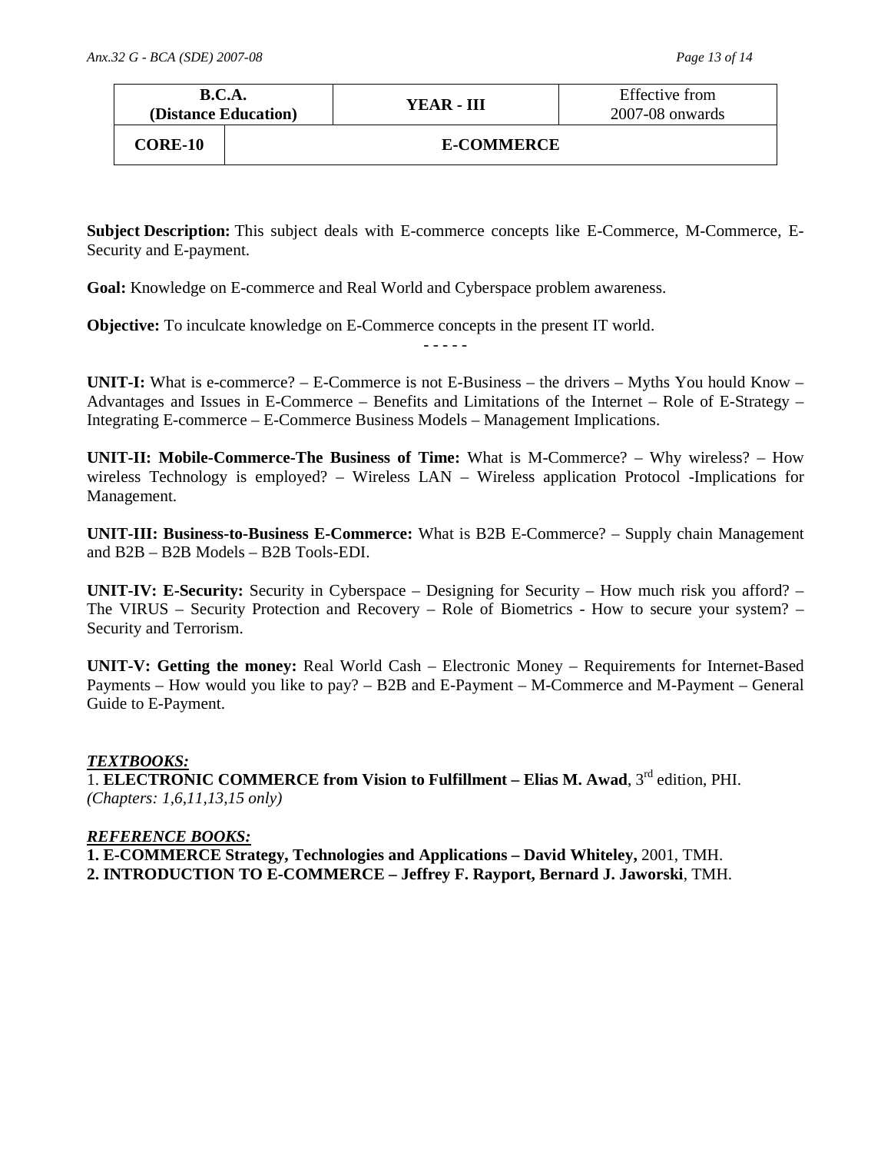| B.C.A.<br>(Distance Education) |  | YEAR - III        | Effective from<br>$2007-08$ onwards |
|--------------------------------|--|-------------------|-------------------------------------|
| CORE-10                        |  | <b>E-COMMERCE</b> |                                     |

**Subject Description:** This subject deals with E-commerce concepts like E-Commerce, M-Commerce, E-Security and E-payment.

**Goal:** Knowledge on E-commerce and Real World and Cyberspace problem awareness.

**Objective:** To inculcate knowledge on E-Commerce concepts in the present IT world.

**UNIT-I:** What is e-commerce? – E-Commerce is not E-Business – the drivers – Myths You hould Know – Advantages and Issues in E-Commerce – Benefits and Limitations of the Internet – Role of E-Strategy – Integrating E-commerce – E-Commerce Business Models – Management Implications.

- - - - -

**UNIT-II: Mobile-Commerce-The Business of Time:** What is M-Commerce? – Why wireless? – How wireless Technology is employed? – Wireless LAN – Wireless application Protocol -Implications for Management.

**UNIT-III: Business-to-Business E-Commerce:** What is B2B E-Commerce? – Supply chain Management and B2B – B2B Models – B2B Tools-EDI.

**UNIT-IV: E-Security:** Security in Cyberspace – Designing for Security – How much risk you afford? – The VIRUS – Security Protection and Recovery – Role of Biometrics - How to secure your system? – Security and Terrorism.

**UNIT-V: Getting the money:** Real World Cash – Electronic Money – Requirements for Internet-Based Payments – How would you like to pay? – B2B and E-Payment – M-Commerce and M-Payment – General Guide to E-Payment.

## *TEXTBOOKS:*

1. **ELECTRONIC COMMERCE from Vision to Fulfillment – Elias M. Awad**, 3<sup>rd</sup> edition, PHI. *(Chapters: 1,6,11,13,15 only)*

#### *REFERENCE BOOKS:*

**1. E-COMMERCE Strategy, Technologies and Applications – David Whiteley,** 2001, TMH. **2. INTRODUCTION TO E-COMMERCE – Jeffrey F. Rayport, Bernard J. Jaworski**, TMH.